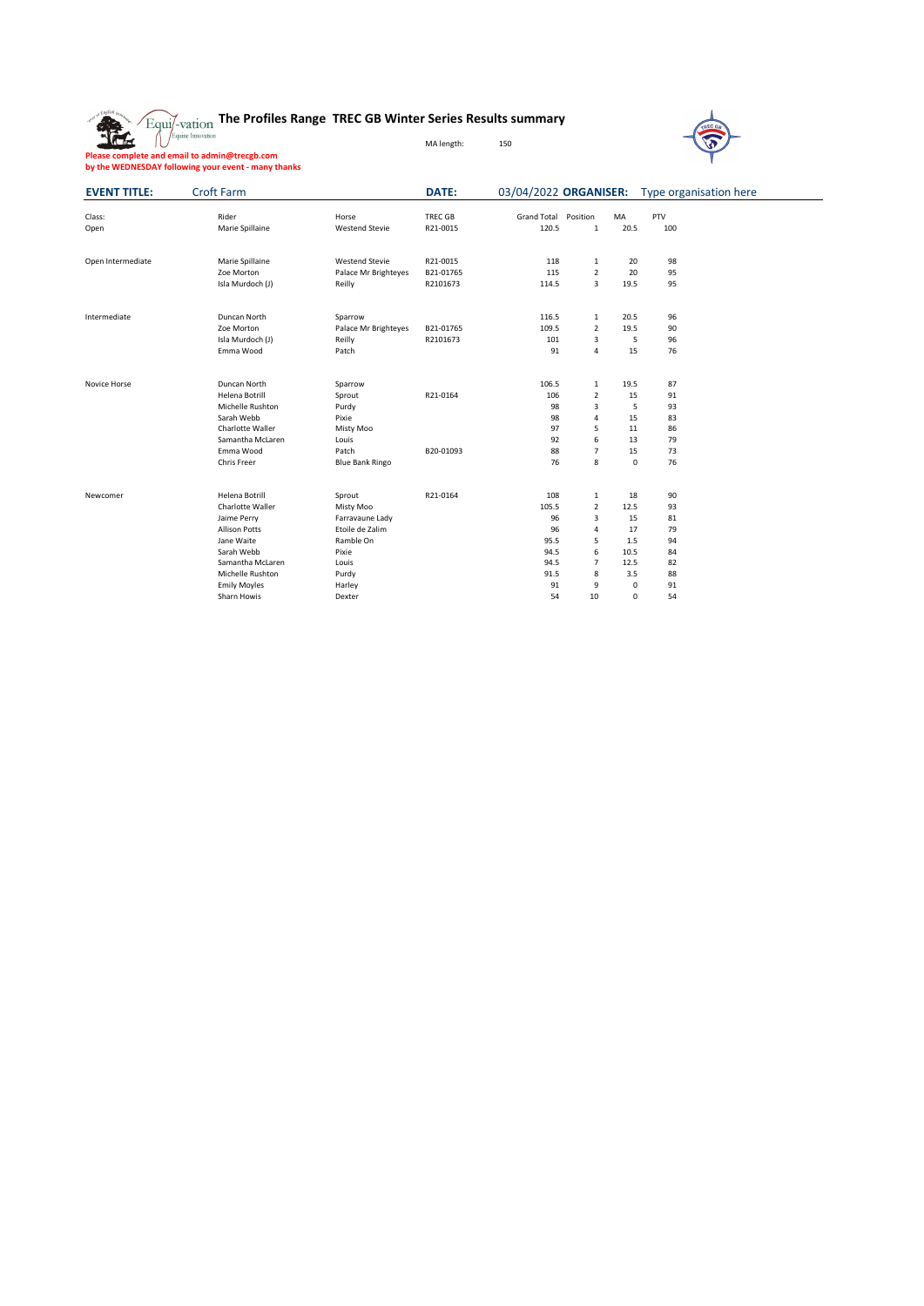



**Please complete and email to admin@trecgb.com by the WEDNESDAY following your event - many thanks**

| <b>EVENT TITLE:</b> | <b>Croft Farm</b>    |                        | <b>DATE:</b> | 03/04/2022 ORGANISER: |                  |           | Type organisation here |  |
|---------------------|----------------------|------------------------|--------------|-----------------------|------------------|-----------|------------------------|--|
| Class:              | Rider                | Horse                  | TREC GB      | <b>Grand Total</b>    | Position         | MA        | PTV                    |  |
| Open                | Marie Spillaine      | <b>Westend Stevie</b>  | R21-0015     | 120.5                 | $\mathbf{1}$     | 20.5      | 100                    |  |
|                     |                      |                        |              |                       |                  |           |                        |  |
| Open Intermediate   | Marie Spillaine      | <b>Westend Stevie</b>  | R21-0015     | 118                   | $\mathbf{1}$     | 20        | 98                     |  |
|                     | Zoe Morton           | Palace Mr Brighteyes   | B21-01765    | 115                   | $\overline{2}$   | 20        | 95                     |  |
|                     | Isla Murdoch (J)     | Reilly                 | R2101673     | 114.5                 | $\mathbf{3}$     | 19.5      | 95                     |  |
| Intermediate        | Duncan North         | Sparrow                |              | 116.5                 | $\mathbf{1}$     | 20.5      | 96                     |  |
|                     | Zoe Morton           | Palace Mr Brighteyes   | B21-01765    | 109.5                 | $\overline{2}$   | 19.5      | 90                     |  |
|                     | Isla Murdoch (J)     | Reilly                 | R2101673     | 101                   | 3                | 5         | 96                     |  |
|                     | Emma Wood            | Patch                  |              | 91                    | $\pmb{4}$        | 15        | 76                     |  |
| Novice Horse        | Duncan North         | Sparrow                |              | 106.5                 | $\mathbf{1}$     | 19.5      | 87                     |  |
|                     | Helena Botrill       | Sprout                 | R21-0164     | 106                   | $\overline{2}$   | 15        | 91                     |  |
|                     | Michelle Rushton     | Purdy                  |              | 98                    | 3                | 5         | 93                     |  |
|                     | Sarah Webb           | Pixie                  |              | 98                    | 4                | 15        | 83                     |  |
|                     | Charlotte Waller     | <b>Misty Moo</b>       |              | 97                    | 5                | 11        | 86                     |  |
|                     | Samantha McLaren     | Louis                  |              | 92                    | 6                | 13        | 79                     |  |
|                     | Emma Wood            | Patch                  | B20-01093    | 88                    | $\overline{7}$   | 15        | 73                     |  |
|                     | <b>Chris Freer</b>   | <b>Blue Bank Ringo</b> |              | 76                    | $\,8\,$          | $\pmb{0}$ | 76                     |  |
| Newcomer            | Helena Botrill       | Sprout                 | R21-0164     | 108                   | $\mathbf{1}$     | 18        | 90                     |  |
|                     | Charlotte Waller     | <b>Misty Moo</b>       |              | 105.5                 | $\overline{2}$   | 12.5      | 93                     |  |
|                     | Jaime Perry          | Farravaune Lady        |              | 96                    | $\mathsf{3}$     | 15        | 81                     |  |
|                     | <b>Allison Potts</b> | Etoile de Zalim        |              | 96                    | 4                | 17        | 79                     |  |
|                     | Jane Waite           | Ramble On              |              | 95.5                  | 5                | $1.5\,$   | 94                     |  |
|                     | Sarah Webb           | Pixie                  |              | 94.5                  | 6                | 10.5      | 84                     |  |
|                     | Samantha McLaren     | Louis                  |              | 94.5                  | $\overline{7}$   | 12.5      | 82                     |  |
|                     | Michelle Rushton     | Purdy                  |              | 91.5                  | 8                | 3.5       | 88                     |  |
|                     | <b>Emily Moyles</b>  | Harley                 |              | 91                    | $\boldsymbol{9}$ | 0         | 91                     |  |
|                     | Sharn Howis          | Dexter                 |              | 54                    | $10\,$           | 0         | 54                     |  |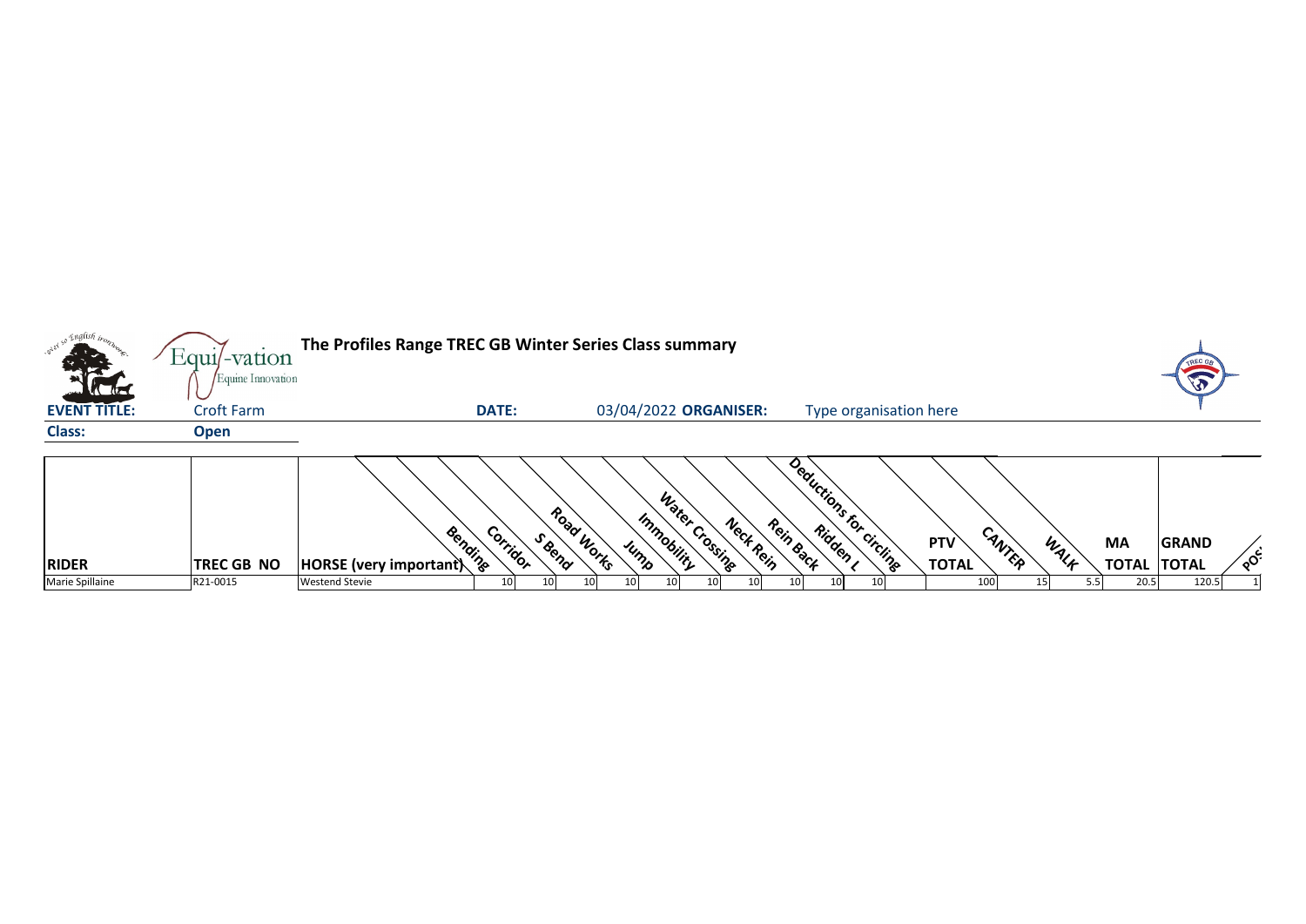|                                         | Equil-vation                           | The Profiles Range TREC GB Winter Series Class summary |                 |        |            |                       |                |           |           |                          |                            |        |      |             |                                    |    |
|-----------------------------------------|----------------------------------------|--------------------------------------------------------|-----------------|--------|------------|-----------------------|----------------|-----------|-----------|--------------------------|----------------------------|--------|------|-------------|------------------------------------|----|
| <b>Catalogue</b><br><b>EVENT TITLE:</b> | Equine Innovation<br><b>Croft Farm</b> |                                                        | <b>DATE:</b>    |        |            | 03/04/2022 ORGANISER: |                |           |           | Type organisation here   |                            |        |      |             |                                    |    |
| <b>Class:</b>                           | <b>Open</b>                            |                                                        |                 |        |            |                       |                |           |           |                          |                            |        |      |             |                                    |    |
| <b>RIDER</b>                            | <b>TREC GB NO</b>                      | Bending<br>$ $ HORSE (very important)                  | Corridor        | S Reng | Road Works | Immobility<br>Jump    | Water Crossing | Neck Rein | Rein Back | Deductions for circlinge | <b>PTV</b><br><b>TOTAL</b> | CANTER | WALK | <b>MA</b>   | <b>GRAND</b><br><b>TOTAL TOTAL</b> | ໌ດ |
| Marie Spillaine                         | R21-0015                               | <b>Westend Stevie</b>                                  | 10 <sub>l</sub> | 10     | 101        |                       |                |           | 10        |                          |                            | 100    |      | 20.5<br>5.5 | 120.5                              |    |





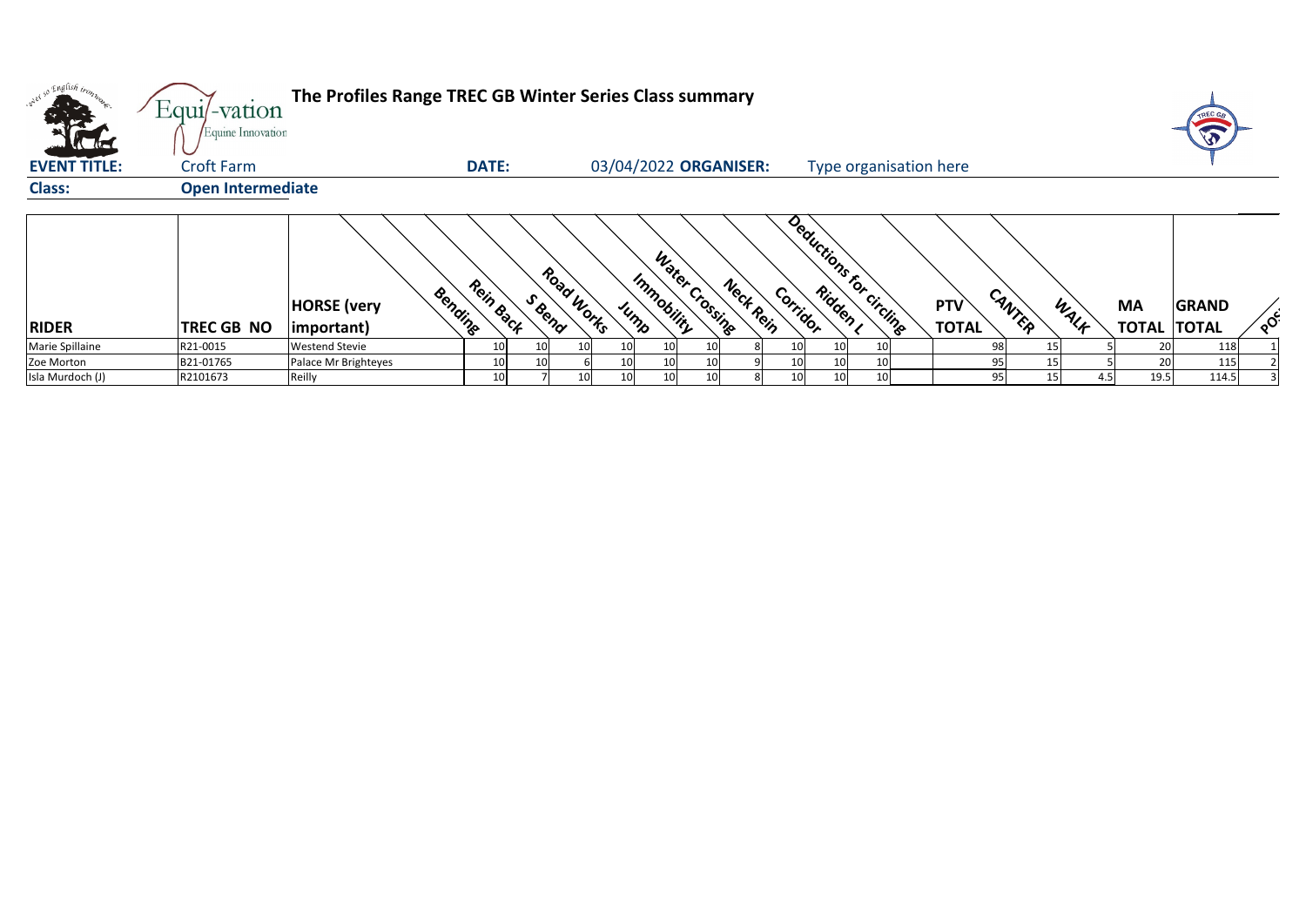| <b>K</b> Ka         | Equil-vation<br>Equine Innovation | The Profiles Range TREC GB Winter Series Class summary |              |                      |     |                       |                |           |                 |                 |                         |                            |        |      |             |                                    |          |
|---------------------|-----------------------------------|--------------------------------------------------------|--------------|----------------------|-----|-----------------------|----------------|-----------|-----------------|-----------------|-------------------------|----------------------------|--------|------|-------------|------------------------------------|----------|
| <b>EVENT TITLE:</b> | <b>Croft Farm</b>                 |                                                        | <b>DATE:</b> |                      |     | 03/04/2022 ORGANISER: |                |           |                 |                 | Type organisation here  |                            |        |      |             |                                    |          |
| <b>Class:</b>       | <b>Open Intermediate</b>          |                                                        |              |                      |     |                       |                |           |                 |                 |                         |                            |        |      |             |                                    |          |
| <b>RIDER</b>        | TREC GB NO                        | Bending<br><b>HORSE</b> (very<br>$ important\rangle$   | Rein Back    | Road Works<br>S Bend |     | Immobility<br>Jump    | Water Crossing | Nect Rein | Corridor        |                 | Deductions for circling | <b>PTV</b><br><b>TOTAL</b> | CANTER | WALF | <b>MA</b>   | <b>GRAND</b><br><b>TOTAL TOTAL</b> | $\sim$ င |
| Marie Spillaine     | R21-0015                          | <b>Westend Stevie</b>                                  | 10           | 10I                  | 101 | 10 <sub>l</sub>       |                |           | 10 <sub>l</sub> | 10I             |                         |                            | 98     |      |             | 118                                |          |
| Zoe Morton          | B21-01765                         | Palace Mr Brighteyes                                   | 10           | 10I                  |     | 10 <sub>l</sub>       |                |           | 10 <sub>l</sub> | 10 <sup>1</sup> |                         |                            | 95     |      | 20          | 115                                |          |
| Isla Murdoch (J)    | R2101673                          | Reilly                                                 | 10           |                      | 10  | 10 <sup>1</sup>       |                |           | 10 <sub>l</sub> | 10 <sup>1</sup> |                         |                            | 95     | 15   | 19.5<br>4.5 | 114.5                              |          |



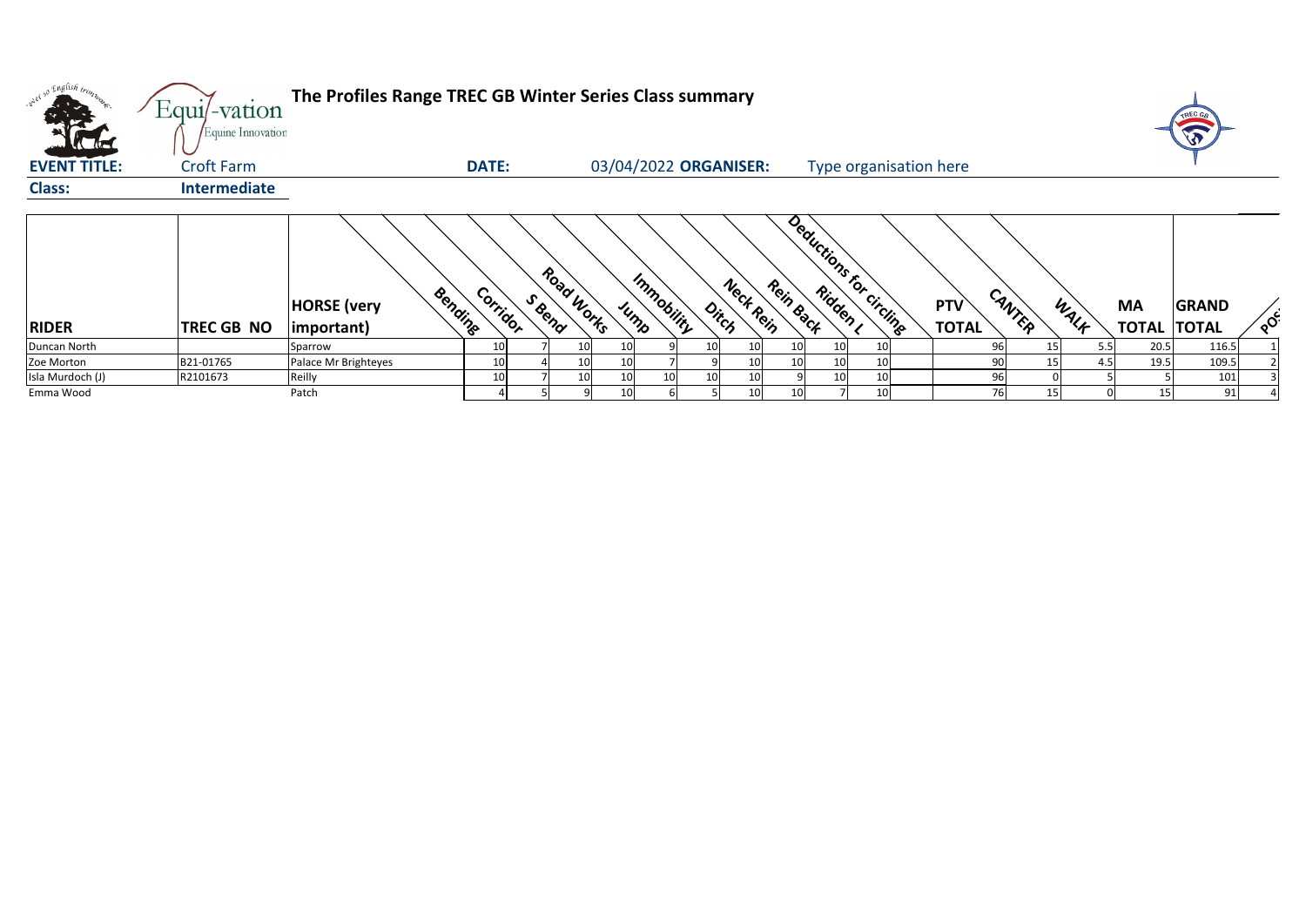| oned so English tros | Equil-vation<br>Equine Innovation | The Profiles Range TREC GB Winter Series Class summary |              |        |                 |                 |                       |                                                               |                 |                 |                         |                        |        |                 |      |                    | W            |    |
|----------------------|-----------------------------------|--------------------------------------------------------|--------------|--------|-----------------|-----------------|-----------------------|---------------------------------------------------------------|-----------------|-----------------|-------------------------|------------------------|--------|-----------------|------|--------------------|--------------|----|
| <b>KERE</b>          |                                   |                                                        |              |        |                 |                 |                       |                                                               |                 |                 |                         |                        |        |                 |      |                    |              |    |
| <b>EVENT TITLE:</b>  | <b>Croft Farm</b>                 |                                                        | <b>DATE:</b> |        |                 |                 | 03/04/2022 ORGANISER: |                                                               |                 |                 |                         | Type organisation here |        |                 |      |                    |              |    |
| <b>Class:</b>        | Intermediate                      |                                                        |              |        |                 |                 |                       |                                                               |                 |                 |                         |                        |        |                 |      |                    |              |    |
|                      |                                   |                                                        |              |        |                 |                 |                       |                                                               |                 |                 |                         |                        |        |                 |      |                    |              |    |
|                      |                                   | Bending<br><b>HORSE</b> (very                          | Corridor     | S Rend | Road Works      |                 | Immobility            | Neck Rein                                                     | Rein Back       |                 | Deductions for circling | <b>PTV</b>             | CANTER |                 |      | <b>MA</b>          | <b>GRAND</b> |    |
| <b>RIDER</b>         | TREC GB NO                        | $ important\rangle$                                    |              |        |                 | $\mu_{h}$       |                       | $\phi_{i\mathstrut}_{\mathstrut c_{\mathstrut}_{\mathstrut}}$ |                 |                 |                         | <b>TOTAL</b>           |        |                 | WALF | <b>TOTAL TOTAL</b> |              | ໌ດ |
| Duncan North         |                                   | Sparrow                                                | 10           |        | 10              | 10              | 10                    | 10                                                            | 10I             | 10I             |                         |                        | 96     |                 | 5.5  | 20.5               | 116.5        |    |
| Zoe Morton           | B21-01765                         | Palace Mr Brighteyes                                   | 10           |        | 10              | 10              |                       | 10                                                            |                 | 10 <sup>1</sup> |                         |                        | 90     |                 | 4.5  | 19.5               | 109.5        |    |
| Isla Murdoch (J)     | R2101673                          | Reilly                                                 | 10           |        | 10 <sup>1</sup> | 10 <sup>1</sup> | 10                    | 10                                                            |                 | 10 <sub>l</sub> |                         |                        | 96     |                 |      |                    | 101          |    |
| Emma Wood            |                                   | Patch                                                  |              |        |                 | 10 <sup>1</sup> |                       | 10                                                            | 10 <sup>1</sup> |                 |                         |                        | 76     | 15 <sub>1</sub> |      | 15                 | 91           |    |



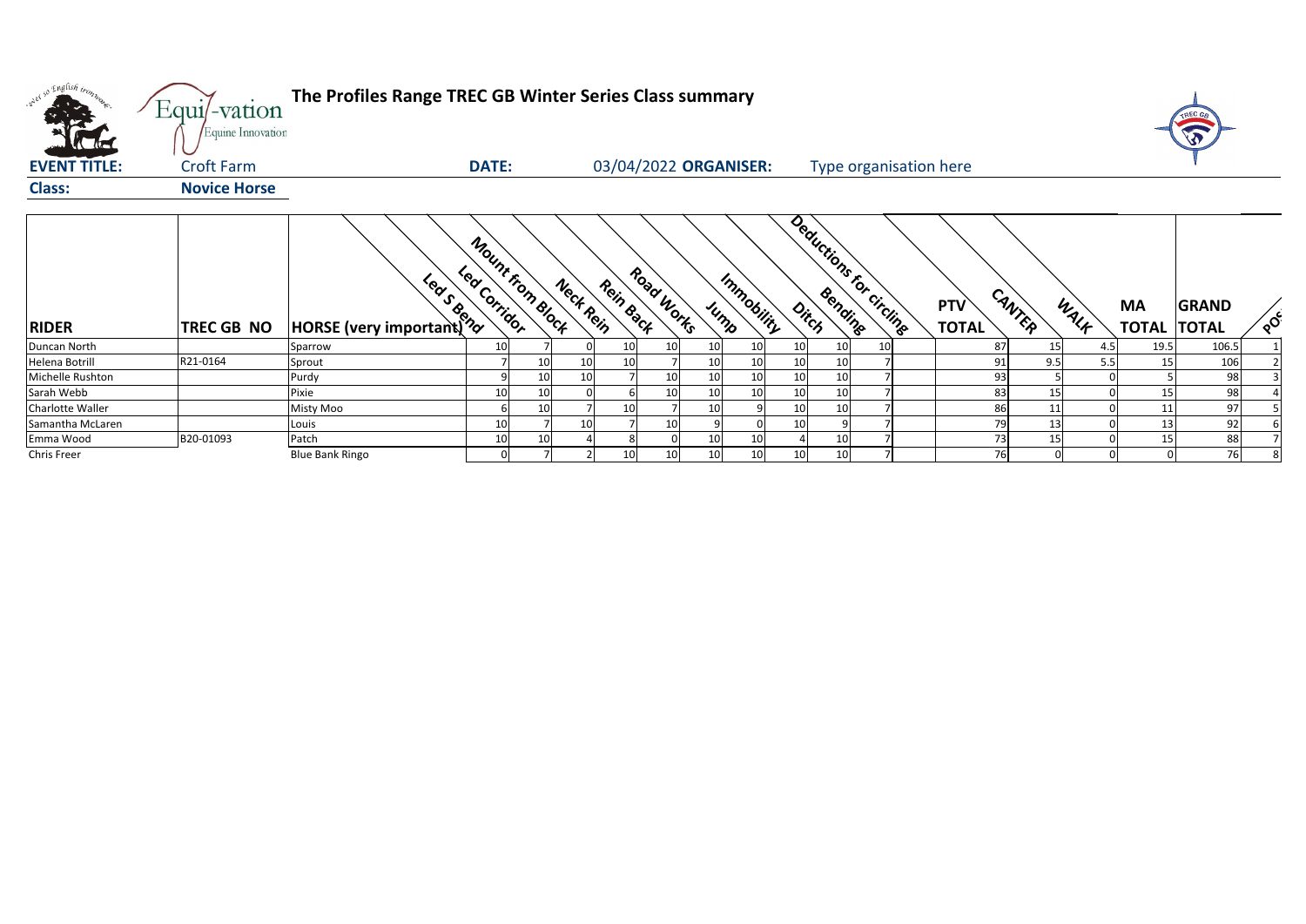| what so English trong | Equi/-vation<br>Equine Innovation | The Profiles Range TREC GB Winter Series Class summary |              |                  |           |                       |            |                    |    |    |                         |                            |        |      |                                 |                          |
|-----------------------|-----------------------------------|--------------------------------------------------------|--------------|------------------|-----------|-----------------------|------------|--------------------|----|----|-------------------------|----------------------------|--------|------|---------------------------------|--------------------------|
| <b>EVENT TITLE:</b>   | <b>Croft Farm</b>                 |                                                        | <b>DATE:</b> |                  |           | 03/04/2022 ORGANISER: |            |                    |    |    | Type organisation here  |                            |        |      |                                 |                          |
| <b>Class:</b>         | <b>Novice Horse</b>               |                                                        |              |                  |           |                       |            |                    |    |    |                         |                            |        |      |                                 |                          |
| <b>RIDER</b>          | TREC GB NO                        | HORSE (very important) ??                              | Led Corridor | Mount from Block | Neck Rein | Rein Back             | Road Works | Immobility<br>JUMP |    |    | Deductions for circling | <b>PTV</b><br><b>TOTAL</b> | CANTER | WALK | <b>MA</b><br><b>TOTAL TOTAL</b> | <b>GRAND</b><br>$\delta$ |
| Duncan North          |                                   | Sparrow                                                | 10           |                  |           |                       | 10         | 10                 | 10 | 10 |                         | -87                        | 15     | 4.5  | 19.5                            | 106.5                    |
| Helena Botrill        | R21-0164                          | Sprout                                                 |              |                  |           |                       |            | 10                 | 10 |    |                         | 91                         | 9.5    | 5.5  | 15                              | 106                      |
| Michelle Rushton      |                                   | Purdy                                                  |              | 10               |           |                       | 10         | 10                 | 10 | 10 |                         | 93                         |        |      |                                 | 98                       |
| Sarah Webb            |                                   | Pixie                                                  | 10           |                  |           |                       |            | 10                 | 10 |    |                         | 83                         |        |      | 15                              | 98                       |
| Charlotte Waller      |                                   | Misty Moo                                              |              | 10               |           |                       | 10         |                    | 10 | 10 |                         | 8 <sub>0</sub>             |        |      |                                 | 97                       |
| Samantha McLaren      |                                   | Louis                                                  | 10           |                  | 10        |                       | <b>10</b>  |                    | 10 |    |                         | 79                         | 13     |      | 13                              | 92                       |
| Emma Wood             | B20-01093                         | Patch                                                  | 10           | 10               |           |                       | 10         | 10                 |    | 10 |                         | 73                         | 15     |      | 15                              | 88                       |
| Chris Freer           |                                   | <b>Blue Bank Ringo</b>                                 | 0            |                  |           |                       | 10<br>10   | 10                 | 10 | 10 |                         | 76                         |        |      |                                 | 76                       |

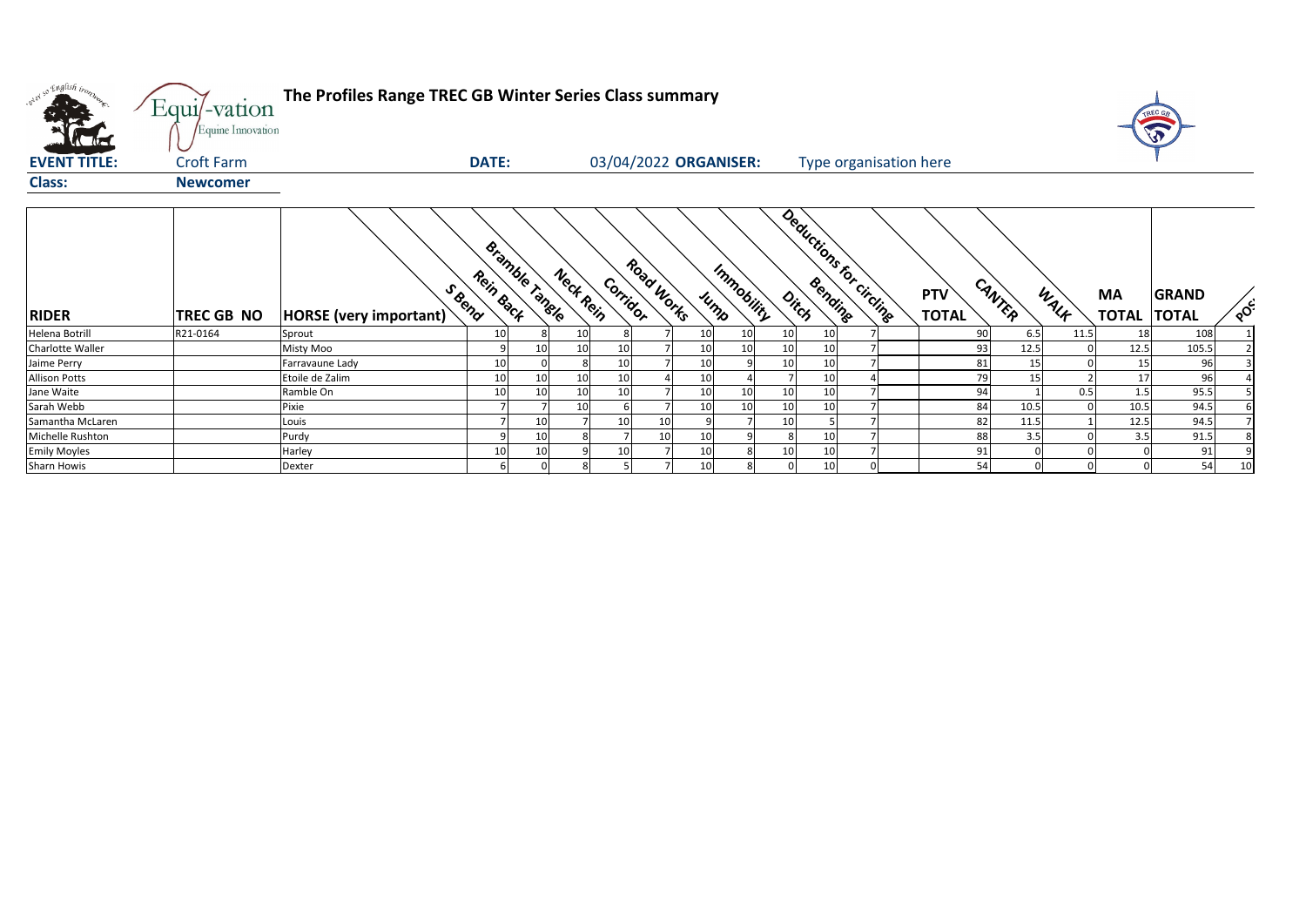| onel so English tron, | Equi/-vation<br>Equine Innovation | The Profiles Range TREC GB Winter Series Class summary |                 |                |           |              |                       |      |            |    |    |                         |                            |            |          |                           | TREC G                       |     |
|-----------------------|-----------------------------------|--------------------------------------------------------|-----------------|----------------|-----------|--------------|-----------------------|------|------------|----|----|-------------------------|----------------------------|------------|----------|---------------------------|------------------------------|-----|
| <b>EVENT TITLE:</b>   | <b>Croft Farm</b>                 |                                                        | <b>DATE:</b>    |                |           |              | 03/04/2022 ORGANISER: |      |            |    |    | Type organisation here  |                            |            |          |                           |                              |     |
| <b>Class:</b>         | <b>Newcomer</b>                   |                                                        |                 |                |           |              |                       |      |            |    |    |                         |                            |            |          |                           |                              |     |
| <b>RIDER</b>          | TREC GB NO                        | S Reno<br>HORSE (very important)                       | Rein Back       | Bramble Tangle | Nect Rein | Corridor     | Road Works            | JUMP | Immobility |    |    | Deductions for circling | <b>PTV</b><br><b>TOTAL</b> | CANTER     | WALK     | <b>MA</b><br><b>TOTAL</b> | <b>GRAND</b><br><b>TOTAL</b> | POC |
| Helena Botrill        | R21-0164                          | Sprout                                                 | 10 <sup>1</sup> |                | 10        | 8            |                       | 10   | 10         | 10 | 10 |                         |                            | 90<br>6.5  | 11.5     |                           | 108                          |     |
| Charlotte Waller      |                                   | Misty Moo                                              |                 | 10             | 10        | 10           |                       | 10   | 10         | 10 | 10 |                         |                            | 93<br>12.5 |          | 12.5                      | 105.5                        |     |
| Jaime Perry           |                                   | Farravaune Lady                                        | 10              |                |           | 10           |                       | 10   |            | 10 | 10 |                         |                            | 81         | 15       |                           | 96                           |     |
| <b>Allison Potts</b>  |                                   | Etoile de Zalim                                        | 10              | 10             | 10        | 10           |                       | 10   |            |    | 10 |                         |                            | 79         | 15       |                           | 96                           |     |
| Jane Waite            |                                   | Ramble On                                              | 10 <sup>1</sup> | 10             | 10        | 10           |                       | 10   | 10         | 10 | 10 |                         |                            | 94         | 0.5      | 1.5                       | 95.5                         |     |
| Sarah Webb            |                                   | Pixie                                                  |                 |                | 10        |              |                       | 10   | 10         | 10 | 10 |                         |                            | 84<br>10.5 | $\Omega$ | 10.5                      | 94.5                         |     |
| Samantha McLaren      |                                   | Louis                                                  |                 | 10             |           | 10           | 10                    |      |            | 10 |    |                         |                            | 82<br>11.5 |          | 12.5                      | 94.5                         |     |
| Michelle Rushton      |                                   | Purdy                                                  |                 | 10             |           |              | 10 <sup>1</sup>       | 10   |            |    | 10 |                         |                            | 88<br>3.5  |          | 3.5                       | 91.5                         |     |
| <b>Emily Moyles</b>   |                                   | Harley                                                 | 10              | 10             |           | 10           |                       | 10   |            | 10 | 10 |                         |                            | 91         |          |                           | 91                           |     |
| <b>Sharn Howis</b>    |                                   | <b>Dexter</b>                                          |                 |                |           | $\mathbf{C}$ |                       | 10   |            |    | 10 |                         |                            | 54         |          |                           | 54                           | 10  |

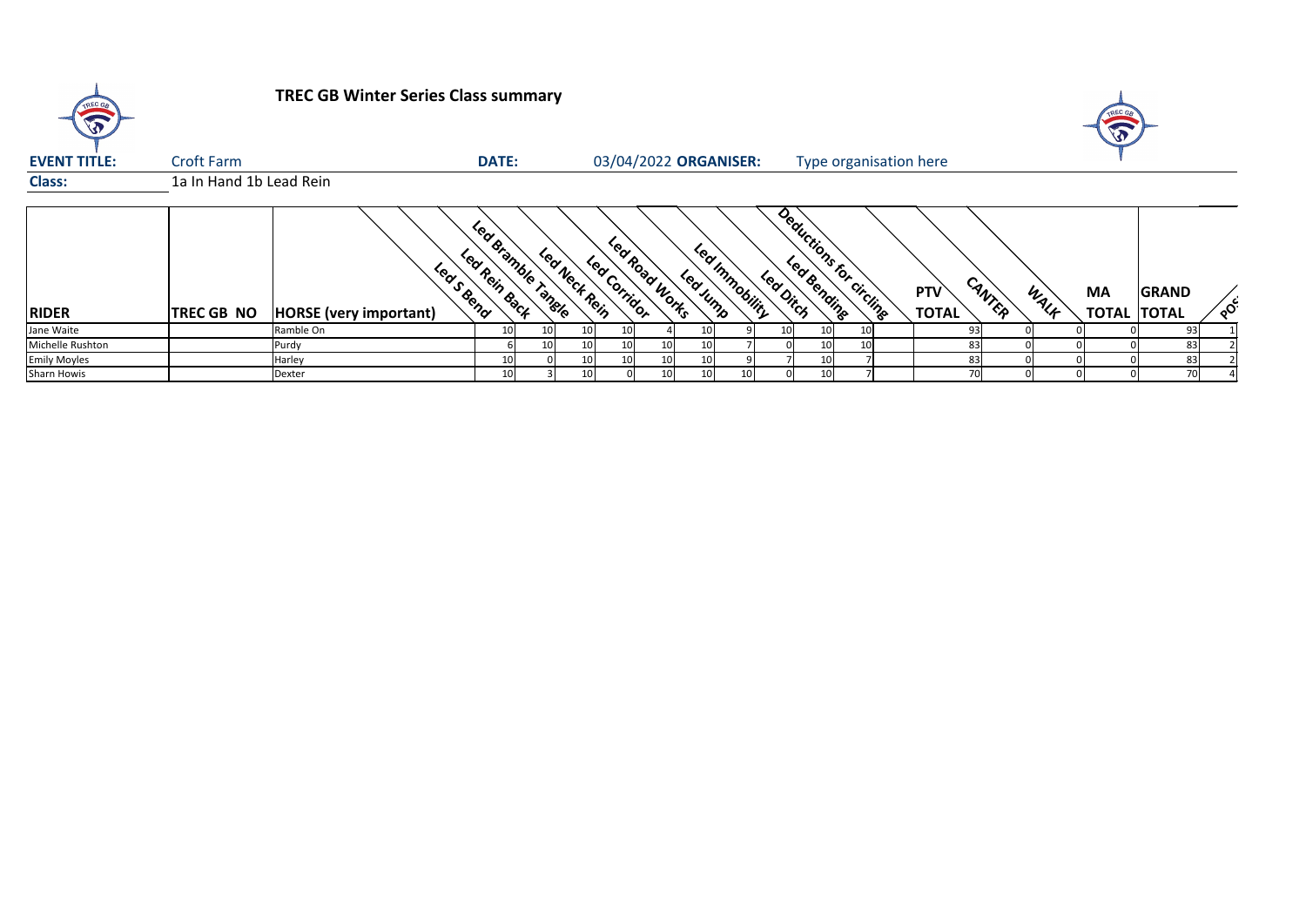

## **TREC GB Winter Series Class summary**

| <b>EVENT TITLE:</b> | <b>Croft Farm</b>       |                                            | <b>DATE:</b>                        |                 |                 |                 |                         | 03/04/2022 ORGANISER: |           | Type organisation here  |                                      |      |                                 |              |          |
|---------------------|-------------------------|--------------------------------------------|-------------------------------------|-----------------|-----------------|-----------------|-------------------------|-----------------------|-----------|-------------------------|--------------------------------------|------|---------------------------------|--------------|----------|
| <b>Class:</b>       | 1a In Hand 1b Lead Rein |                                            |                                     |                 |                 |                 |                         |                       |           |                         |                                      |      |                                 |              |          |
| <b>RIDER</b>        | <b>TREC GB NO</b>       | Leas Bend<br><b>HORSE</b> (very important) | Led Bramble Tangle<br>Led Rein Back | Led Neck Rein   | Led Corridor    | Learnord Works  | <b>Leat</b><br>Leavinno | Immobility            | Led Dirch | Deductions for circling | CANTER<br><b>PTV</b><br><b>TOTAL</b> | WALK | <b>MA</b><br><b>TOTAL TOTAL</b> | <b>GRAND</b> | $\infty$ |
| Jane Waite          |                         | Ramble On                                  |                                     |                 |                 |                 |                         |                       |           | 10I                     | 931                                  |      |                                 | 93           |          |
| Michelle Rushton    |                         | Purdy                                      |                                     | 10 <sub>l</sub> | 10 <sub>l</sub> | 10 <sup>1</sup> | 10                      |                       |           | 10 <sup>1</sup>         | 83                                   |      |                                 | 83           |          |
| <b>Emily Moyles</b> |                         | Harley                                     |                                     | 10              | 10 <sub>l</sub> | 10 <sup>1</sup> | 10                      |                       |           |                         | 83                                   |      |                                 | 83           |          |
| Sharn Howis         |                         | Dexter                                     |                                     | 10 I            |                 | 10 I            | 10                      | 10                    |           |                         |                                      |      |                                 | 70           |          |